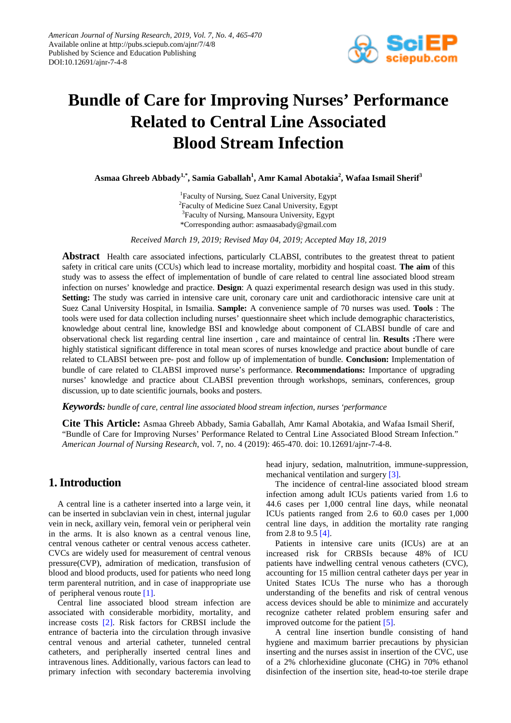

# **Bundle of Care for Improving Nurses' Performance Related to Central Line Associated Blood Stream Infection**

**Asmaa Ghreeb Abbady1,\*, Samia Gaballah1 , Amr Kamal Abotakia<sup>2</sup> , Wafaa Ismail Sherif<sup>3</sup>**

<sup>1</sup>Faculty of Nursing, Suez Canal University, Egypt <sup>2</sup>Faculty of Medicine Suez Canal University, Egypt <sup>3</sup>Faculty of Nursing, Mansoura University, Egypt \*Corresponding author: asmaasabady@gmail.com

*Received March 19, 2019; Revised May 04, 2019; Accepted May 18, 2019*

**Abstract** Health care associated infections, particularly CLABSI, contributes to the greatest threat to patient safety in critical care units (CCUs) which lead to increase mortality, morbidity and hospital coast. **The aim** of this study was to assess the effect of implementation of bundle of care related to central line associated blood stream infection on nurses' knowledge and practice. **Design**: A quazi experimental research design was used in this study. **Setting:** The study was carried in intensive care unit, coronary care unit and cardiothoracic intensive care unit at Suez Canal University Hospital, in Ismailia. **Sample:** A convenience sample of 70 nurses was used. **Tools** : The tools were used for data collection including nurses' questionnaire sheet which include demographic characteristics, knowledge about central line, knowledge BSI and knowledge about component of CLABSI bundle of care and observational check list regarding central line insertion , care and maintaince of central lin. **Results :**There were highly statistical significant difference in total mean scores of nurses knowledge and practice about bundle of care related to CLABSI between pre- post and follow up of implementation of bundle. **Conclusion:** Implementation of bundle of care related to CLABSI improved nurse's performance. **Recommendations:** Importance of upgrading nurses' knowledge and practice about CLABSI prevention through workshops, seminars, conferences, group discussion, up to date scientific journals, books and posters.

*Keywords: bundle of care, central line associated blood stream infection, nurses 'performance*

**Cite This Article:** Asmaa Ghreeb Abbady, Samia Gaballah, Amr Kamal Abotakia, and Wafaa Ismail Sherif, "Bundle of Care for Improving Nurses' Performance Related to Central Line Associated Blood Stream Infection." *American Journal of Nursing Research*, vol. 7, no. 4 (2019): 465-470. doi: 10.12691/ajnr-7-4-8.

## **1. Introduction**

A central line is a catheter inserted into a large vein, it can be inserted in subclavian vein in chest, internal jugular vein in neck, axillary vein, femoral vein or peripheral vein in the arms. It is also known as a central venous line, central venous catheter or central venous access catheter. CVCs are widely used for measurement of central venous pressure(CVP), admiration of medication, transfusion of blood and blood products, used for patients who need long term parenteral nutrition, and in case of inappropriate use of peripheral venous route [\[1\].](#page-5-0)

Central line associated blood stream infection are associated with considerable morbidity, mortality, and increase costs [\[2\].](#page-5-1) Risk factors for CRBSI include the entrance of bacteria into the circulation through invasive central venous and arterial catheter, tunneled central catheters, and peripherally inserted central lines and intravenous lines. Additionally, various factors can lead to primary infection with secondary bacteremia involving

head injury, sedation, malnutrition, immune-suppression, mechanical ventilation and surgery [\[3\].](#page-5-2)

The incidence of central-line associated blood stream infection among adult ICUs patients varied from 1.6 to 44.6 cases per 1,000 central line days, while neonatal ICUs patients ranged from 2.6 to 60.0 cases per 1,000 central line days, in addition the mortality rate ranging from 2.8 to 9.5 [\[4\].](#page-5-3)

Patients in intensive care units (ICUs) are at an increased risk for CRBSIs because 48% of ICU patients have indwelling central venous catheters (CVC), accounting for 15 million central catheter days per year in United States ICUs The nurse who has a thorough understanding of the benefits and risk of central venous access devices should be able to minimize and accurately recognize catheter related problem ensuring safer and improved outcome for the patient [\[5\].](#page-5-4)

A central line insertion bundle consisting of hand hygiene and maximum barrier precautions by physician inserting and the nurses assist in insertion of the CVC, use of a 2% chlorhexidine gluconate (CHG) in 70% ethanol disinfection of the insertion site, head-to-toe sterile drape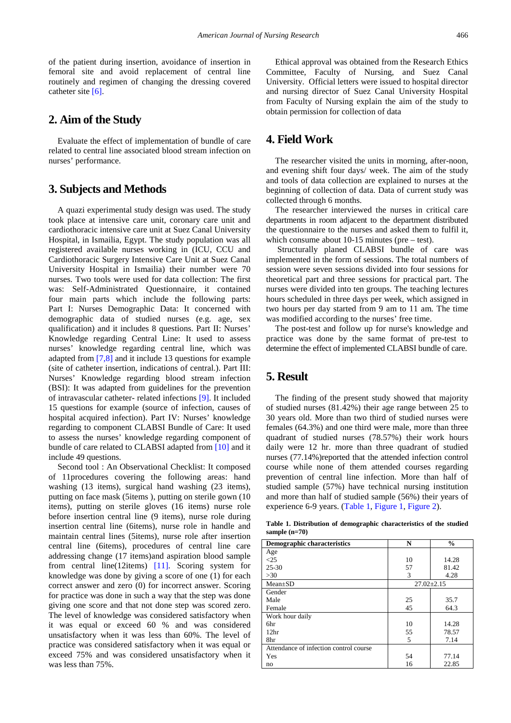of the patient during insertion, avoidance of insertion in femoral site and avoid replacement of central line routinely and regimen of changing the dressing covered catheter site [\[6\].](#page-5-5)

# **2. Aim of the Study**

Evaluate the effect of implementation of bundle of care related to central line associated blood stream infection on nurses' performance.

## **3. Subjects and Methods**

A quazi experimental study design was used. The study took place at intensive care unit, coronary care unit and cardiothoracic intensive care unit at Suez Canal University Hospital, in Ismailia, Egypt. The study population was all registered available nurses working in (ICU, CCU and Cardiothoracic Surgery Intensive Care Unit at Suez Canal University Hospital in Ismailia) their number were 70 nurses. Two tools were used for data collection: The first was: Self-Administrated Questionnaire, it contained four main parts which include the following parts: Part I: Nurses Demographic Data: It concerned with demographic data of studied nurses (e.g. age, sex qualification) and it includes 8 questions. Part II: Nurses' Knowledge regarding Central Line: It used to assess nurses' knowledge regarding central line, which was adapted from [\[7,8\]](#page-5-6) and it include 13 questions for example (site of catheter insertion, indications of central.). Part III: Nurses' Knowledge regarding blood stream infection (BSI): It was adapted from guidelines for the prevention of intravascular catheter- related infections [\[9\].](#page-5-7) It included 15 questions for example (source of infection, causes of hospital acquired infection). Part IV: Nurses' knowledge regarding to component CLABSI Bundle of Care: It used to assess the nurses' knowledge regarding component of bundle of care related to CLABSI adapted from [\[10\]](#page-5-8) and it include 49 questions.

Second tool : An Observational Checklist: It composed of 11procedures covering the following areas: hand washing (13 items), surgical hand washing (23 items), putting on face mask (5items ), putting on sterile gown (10 items), putting on sterile gloves (16 items) nurse role before insertion central line (9 items), nurse role during insertion central line (6items), nurse role in handle and maintain central lines (5items), nurse role after insertion central line (6items), procedures of central line care addressing change (17 items)and aspiration blood sample from central line(12items) [\[11\].](#page-5-9) Scoring system for knowledge was done by giving a score of one (1) for each correct answer and zero (0) for incorrect answer. Scoring for practice was done in such a way that the step was done giving one score and that not done step was scored zero. The level of knowledge was considered satisfactory when it was equal or exceed 60 % and was considered unsatisfactory when it was less than 60%. The level of practice was considered satisfactory when it was equal or exceed 75% and was considered unsatisfactory when it was less than 75%.

Ethical approval was obtained from the Research Ethics Committee, Faculty of Nursing, and Suez Canal University. Official letters were issued to hospital director and nursing director of Suez Canal University Hospital from Faculty of Nursing explain the aim of the study to obtain permission for collection of data

# **4. Field Work**

The researcher visited the units in morning, after-noon, and evening shift four days/ week. The aim of the study and tools of data collection are explained to nurses at the beginning of collection of data. Data of current study was collected through 6 months.

The researcher interviewed the nurses in critical care departments in room adjacent to the department distributed the questionnaire to the nurses and asked them to fulfil it, which consume about 10-15 minutes (pre – test).

Structurally planed CLABSI bundle of care was implemented in the form of sessions. The total numbers of session were seven sessions divided into four sessions for theoretical part and three sessions for practical part. The nurses were divided into ten groups. The teaching lectures hours scheduled in three days per week, which assigned in two hours per day started from 9 am to 11 am. The time was modified according to the nurses' free time.

The post-test and follow up for nurse's knowledge and practice was done by the same format of pre-test to determine the effect of implemented CLABSI bundle of care.

## **5. Result**

The finding of the present study showed that majority of studied nurses (81.42%) their age range between 25 to 30 years old. More than two third of studied nurses were females (64.3%) and one third were male, more than three quadrant of studied nurses (78.57%) their work hours daily were 12 hr. more than three quadrant of studied nurses (77.14%)reported that the attended infection control course while none of them attended courses regarding prevention of central line infection. More than half of studied sample (57%) have technical nursing institution and more than half of studied sample (56%) their years of experience 6-9 years. [\(Table 1,](#page-1-0) [Figure 1,](#page-2-0) [Figure 2\)](#page-2-1).

**Table 1. Distribution of demographic characteristics of the studied sample (n=70)**

<span id="page-1-0"></span>

| <b>Demographic characteristics</b>     | N                | $\frac{6}{9}$ |  |  |  |
|----------------------------------------|------------------|---------------|--|--|--|
| Age                                    |                  |               |  |  |  |
| $\leq$ 25                              | 10               | 14.28         |  |  |  |
| $25 - 30$                              | 57               | 81.42         |  |  |  |
| $>30$                                  | 3                | 4.28          |  |  |  |
| $Mean \pm SD$                          | $27.02 \pm 2.15$ |               |  |  |  |
| Gender                                 |                  |               |  |  |  |
| Male                                   | 25               | 35.7          |  |  |  |
| Female                                 | 45               | 64.3          |  |  |  |
| Work hour daily                        |                  |               |  |  |  |
| 6hr                                    | 10               | 14.28         |  |  |  |
| 12 <sub>hr</sub>                       | 55               | 78.57         |  |  |  |
| 8hr                                    | 5                | 7.14          |  |  |  |
| Attendance of infection control course |                  |               |  |  |  |
| Yes                                    | 54               | 77.14         |  |  |  |
| no                                     | 16               | 22.85         |  |  |  |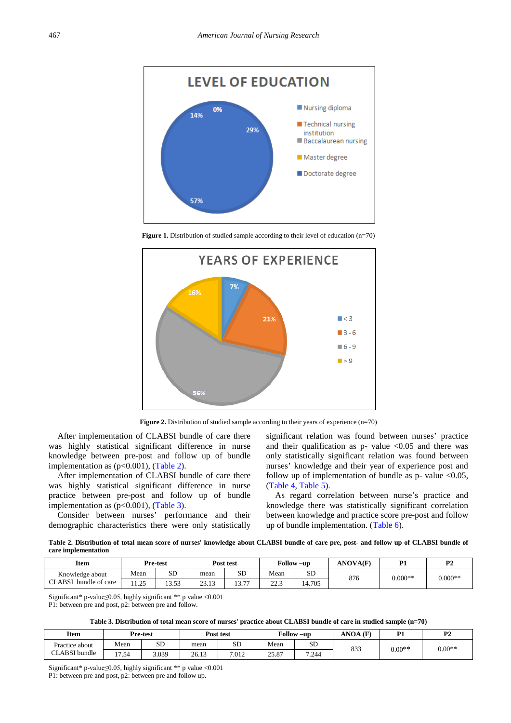<span id="page-2-0"></span>

Figure 1. Distribution of studied sample according to their level of education (n=70)

<span id="page-2-1"></span>

**Figure 2.** Distribution of studied sample according to their years of experience (n=70)

After implementation of CLABSI bundle of care there was highly statistical significant difference in nurse knowledge between pre-post and follow up of bundle implementation as  $(p<0.001)$ , [\(Table 2\)](#page-2-2).

After implementation of CLABSI bundle of care there was highly statistical significant difference in nurse practice between pre-post and follow up of bundle implementation as  $(p<0.001)$ , [\(Table 3\)](#page-2-3).

Consider between nurses' performance and their demographic characteristics there were only statistically significant relation was found between nurses' practice and their qualification as  $p$ - value <0.05 and there was only statistically significant relation was found between nurses' knowledge and their year of experience post and follow up of implementation of bundle as  $p$ - value <0.05, [\(Table 4,](#page-3-0) [Table 5\)](#page-3-1).

As regard correlation between nurse's practice and knowledge there was statistically significant correlation between knowledge and practice score pre-post and follow up of bundle implementation. [\(Table 6\)](#page-3-2).

**Table 2. Distribution of total mean score of nurses' knowledge about CLABSI bundle of care pre, post- and follow up of CLABSI bundle of care implementation**

<span id="page-2-2"></span>

| <b>Item</b>                        |           | Pre-test    |                                 | Post test          |                    | Follow –up | <b>ANOVA(F)</b> | D1        | D <sup>4</sup><br>. . |
|------------------------------------|-----------|-------------|---------------------------------|--------------------|--------------------|------------|-----------------|-----------|-----------------------|
| Knowledge about                    | Mean      | SD          | mean                            | SΕ                 | Mean               | <b>SL</b>  | 876             | $0.000**$ | $0.000**$             |
| bundle of care<br>LABSJ.<br>$\sim$ | 1.25<br>. | 53<br>----- | າາ<br>1 <sub>2</sub><br>ن 1 ، ب | $\sim$ $\sim$<br>. | $\Omega$<br>ر. ۔ ے | 4.705      |                 |           |                       |

Significant\* p-value≤0.05, highly significant \*\* p value <0.001

P1: between pre and post, p2: between pre and follow.

**Table 3. Distribution of total mean score of nurses' practice about CLABSI bundle of care in studied sample (n=70)**

<span id="page-2-3"></span>

| <b>Item</b>          |       | Pre-test  | Post test |           | <b>Follow</b><br>$-u$ p |           | $ANOA$ (F) | D1<br>. . | P <sub>2</sub> |
|----------------------|-------|-----------|-----------|-----------|-------------------------|-----------|------------|-----------|----------------|
| Practice about       | Mean  | <b>SD</b> | mean      | <b>SD</b> | Mean                    | <b>SD</b> | 833        | $0.00**$  | $0.00**$       |
| <b>CLABSI</b> bundle | 17.54 | 3.039     | 26.13     | 7.012     | 25.87                   | 7.244     |            |           |                |

Significant\* p-value≤0.05, highly significant \*\* p value <0.001

P1: between pre and post, p2: between pre and follow up.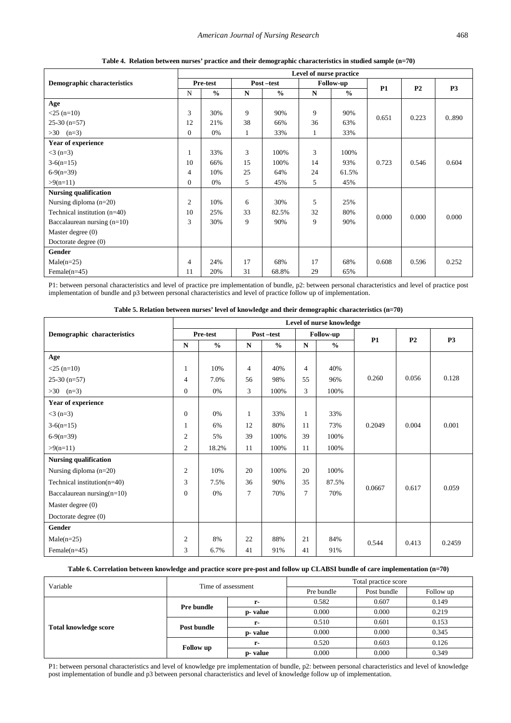<span id="page-3-0"></span>

|                                | Level of nurse practice |               |              |               |                  |               |           |                |           |  |  |
|--------------------------------|-------------------------|---------------|--------------|---------------|------------------|---------------|-----------|----------------|-----------|--|--|
| Demographic characteristics    | Pre-test                |               | Post-test    |               | <b>Follow-up</b> |               | <b>P1</b> | P <sub>2</sub> | <b>P3</b> |  |  |
|                                | $\mathbf N$             | $\frac{0}{0}$ | $\mathbf N$  | $\frac{0}{0}$ | $\mathbf N$      | $\frac{0}{0}$ |           |                |           |  |  |
| Age                            |                         |               |              |               |                  |               |           |                |           |  |  |
| $<$ 25 (n=10)                  | 3                       | 30%           | 9            | 90%           | 9                | 90%           | 0.651     | 0.223          | 0.890     |  |  |
| $25-30$ (n=57)                 | 12                      | 21%           | 38           | 66%           | 36               | 63%           |           |                |           |  |  |
| $>30$ (n=3)                    | $\Omega$                | 0%            | $\mathbf{1}$ | 33%           | 1                | 33%           |           |                |           |  |  |
| <b>Year of experience</b>      |                         |               |              |               |                  |               |           |                |           |  |  |
| $<$ 3 (n=3)                    | 1                       | 33%           | 3            | 100%          | 3                | 100%          |           |                |           |  |  |
| $3-6(n=15)$                    | 10                      | 66%           | 15           | 100%          | 14               | 93%           | 0.723     | 0.546          | 0.604     |  |  |
| $6-9(n=39)$                    | $\overline{4}$          | 10%           | 25           | 64%           | 24               | 61.5%         |           |                |           |  |  |
| $>9(n=11)$                     | $\Omega$                | 0%            | 5            | 45%           | 5                | 45%           |           |                |           |  |  |
| <b>Nursing qualification</b>   |                         |               |              |               |                  |               |           |                |           |  |  |
| Nursing diploma $(n=20)$       | $\overline{2}$          | 10%           | 6            | 30%           | 5                | 25%           |           |                |           |  |  |
| Technical institution $(n=40)$ | 10                      | 25%           | 33           | 82.5%         | 32               | 80%           | 0.000     | 0.000          | 0.000     |  |  |
| Baccalaurean nursing $(n=10)$  | 3                       | 30%           | 9            | 90%           | 9                | 90%           |           |                |           |  |  |
| Master degree (0)              |                         |               |              |               |                  |               |           |                |           |  |  |
| Doctorate degree $(0)$         |                         |               |              |               |                  |               |           |                |           |  |  |
| Gender                         |                         |               |              |               |                  |               |           |                |           |  |  |
| $Male(n=25)$                   | $\overline{4}$          | 24%           | 17           | 68%           | 17               | 68%           | 0.608     | 0.596          | 0.252     |  |  |
| Female $(n=45)$                | 11                      | 20%           | 31           | 68.8%         | 29               | 65%           |           |                |           |  |  |

**Table 4. Relation between nurses' practice and their demographic characteristics in studied sample (n=70)**

P1: between personal characteristics and level of practice pre implementation of bundle, p2: between personal characteristics and level of practice post implementation of bundle and p3 between personal characteristics and level of practice follow up of implementation.

| Table 5. Relation between nurses' level of knowledge and their demographic characteristics $(n=70)$ |  |  |  |
|-----------------------------------------------------------------------------------------------------|--|--|--|
|-----------------------------------------------------------------------------------------------------|--|--|--|

<span id="page-3-1"></span>

|                                | Level of nurse knowledge |               |                |               |                |                  |        |                |           |  |  |
|--------------------------------|--------------------------|---------------|----------------|---------------|----------------|------------------|--------|----------------|-----------|--|--|
| Demographic characteristics    | Pre-test                 |               |                | Post-test     |                | <b>Follow-up</b> | P1     | P <sub>2</sub> | <b>P3</b> |  |  |
|                                | $\mathbf N$              | $\frac{0}{0}$ | ${\bf N}$      | $\frac{0}{0}$ | $\mathbf N$    | $\frac{0}{0}$    |        |                |           |  |  |
| Age                            |                          |               |                |               |                |                  |        |                |           |  |  |
| $<$ 25 (n=10)                  | 1                        | 10%           | $\overline{4}$ | 40%           | $\overline{4}$ | 40%              |        |                |           |  |  |
| $25-30(n=57)$                  | $\overline{4}$           | 7.0%          | 56             | 98%           | 55             | 96%              | 0.260  | 0.056          | 0.128     |  |  |
| $>30$ (n=3)                    | $\mathbf{0}$             | 0%            | 3              | 100%          | 3              | 100%             |        |                |           |  |  |
| Year of experience             |                          |               |                |               |                |                  |        |                |           |  |  |
| $<$ 3 (n=3)                    | $\overline{0}$           | 0%            | 1              | 33%           | 1              | 33%              |        |                |           |  |  |
| $3-6(n=15)$                    | 1                        | 6%            | 12             | 80%           | 11             | 73%              | 0.2049 | 0.004          | 0.001     |  |  |
| $6-9(n=39)$                    | $\overline{2}$           | 5%            | 39             | 100%          | 39             | 100%             |        |                |           |  |  |
| $>9(n=11)$                     | $\mathfrak{2}$           | 18.2%         | 11             | 100%          | 11             | 100%             |        |                |           |  |  |
| <b>Nursing qualification</b>   |                          |               |                |               |                |                  |        |                |           |  |  |
| Nursing diploma $(n=20)$       | $\overline{2}$           | 10%           | 20             | 100%          | 20             | 100%             |        |                |           |  |  |
| Technical institution $(n=40)$ | 3                        | 7.5%          | 36             | 90%           | 35             | 87.5%            | 0.0667 | 0.617          | 0.059     |  |  |
| Baccalaurean nursing $(n=10)$  | $\Omega$                 | 0%            | $\overline{7}$ | 70%           | 7              | 70%              |        |                |           |  |  |
| Master degree $(0)$            |                          |               |                |               |                |                  |        |                |           |  |  |
| Doctorate degree (0)           |                          |               |                |               |                |                  |        |                |           |  |  |
| Gender                         |                          |               |                |               |                |                  |        |                |           |  |  |
| $Male(n=25)$                   | $\mathbf{2}$             | 8%            | 22             | 88%           | 21             | 84%              | 0.544  | 0.413          | 0.2459    |  |  |
| Female $(n=45)$                | 3                        | 6.7%          | 41             | 91%           | 41             | 91%              |        |                |           |  |  |

#### **Table 6. Correlation between knowledge and practice score pre-post and follow up CLABSI bundle of care implementation (n=70)**

<span id="page-3-2"></span>

| Variable                     | Time of assessment |          | Total practice score |             |           |  |  |
|------------------------------|--------------------|----------|----------------------|-------------|-----------|--|--|
|                              |                    |          | Pre bundle           | Post bundle | Follow up |  |  |
| <b>Total knowledge score</b> | <b>Pre bundle</b>  | $r-$     | 0.582                | 0.607       | 0.149     |  |  |
|                              |                    | p- value | 0.000                | 0.000       | 0.219     |  |  |
|                              | Post bundle        | r-       | 0.510                | 0.601       | 0.153     |  |  |
|                              |                    | p- value | 0.000                | 0.000       | 0.345     |  |  |
|                              | <b>Follow</b> up   | r-       | 0.520                | 0.603       | 0.126     |  |  |
|                              |                    | p- value | 0.000                | 0.000       | 0.349     |  |  |

P1: between personal characteristics and level of knowledge pre implementation of bundle, p2: between personal characteristics and level of knowledge post implementation of bundle and p3 between personal characteristics and level of knowledge follow up of implementation.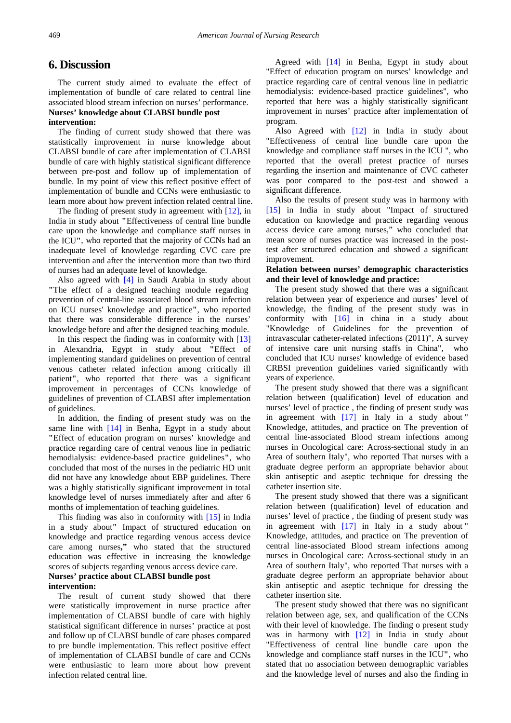#### **6. Discussion**

The current study aimed to evaluate the effect of implementation of bundle of care related to central line associated blood stream infection on nurses' performance.

#### **Nurses' knowledge about CLABSI bundle post intervention:**

The finding of current study showed that there was statistically improvement in nurse knowledge about CLABSI bundle of care after implementation of CLABSI bundle of care with highly statistical significant difference between pre-post and follow up of implementation of bundle. In my point of view this reflect positive effect of implementation of bundle and CCNs were enthusiastic to learn more about how prevent infection related central line.

The finding of present study in agreement with [\[12\],](#page-5-10) in India in study about **"**Effectiveness of central line bundle care upon the knowledge and compliance staff nurses in the ICU**"**, who reported that the majority of CCNs had an inadequate level of knowledge regarding CVC care pre intervention and after the intervention more than two third of nurses had an adequate level of knowledge.

Also agreed with [\[4\]](#page-5-3) in Saudi Arabia in study about **"**The effect of a designed teaching module regarding prevention of central-line associated blood stream infection on ICU nurses' knowledge and practice**"**, who reported that there was considerable difference in the nurses' knowledge before and after the designed teaching module.

In this respect the finding was in conformity with [\[13\]](#page-5-11) in Alexandria, Egypt in study about **"**Effect of implementing standard guidelines on prevention of central venous catheter related infection among critically ill patient**"**, who reported that there was a significant improvement in percentages of CCNs knowledge of guidelines of prevention of CLABSI after implementation of guidelines.

In addition, the finding of present study was on the same line with [\[14\]](#page-5-12) in Benha, Egypt in a study about **"**Effect of education program on nurses' knowledge and practice regarding care of central venous line in pediatric hemodialysis: evidence-based practice guidelines**"**, who concluded that most of the nurses in the pediatric HD unit did not have any knowledge about EBP guidelines. There was a highly statistically significant improvement in total knowledge level of nurses immediately after and after 6 months of implementation of teaching guidelines.

This finding was also in conformity with [\[15\]](#page-5-13) in India in a study about**"** Impact of structured education on knowledge and practice regarding venous access device care among nurses**,"** who stated that the structured education was effective in increasing the knowledge scores of subjects regarding venous access device care.

#### **Nurses' practice about CLABSI bundle post intervention:**

The result of current study showed that there were statistically improvement in nurse practice after implementation of CLABSI bundle of care with highly statistical significant difference in nurses' practice at post and follow up of CLABSI bundle of care phases compared to pre bundle implementation. This reflect positive effect of implementation of CLABSI bundle of care and CCNs were enthusiastic to learn more about how prevent infection related central line.

Agreed with [\[14\]](#page-5-12) in Benha, Egypt in study about "Effect of education program on nurses' knowledge and practice regarding care of central venous line in pediatric hemodialysis: evidence-based practice guidelines", who reported that here was a highly statistically significant improvement in nurses' practice after implementation of program.

Also Agreed with [\[12\]](#page-5-10) in India in study about "Effectiveness of central line bundle care upon the knowledge and compliance staff nurses in the ICU ", who reported that the overall pretest practice of nurses regarding the insertion and maintenance of CVC catheter was poor compared to the post-test and showed a significant difference.

Also the results of present study was in harmony with [\[15\]](#page-5-13) in India in study about "Impact of structured education on knowledge and practice regarding venous access device care among nurses," who concluded that mean score of nurses practice was increased in the posttest after structured education and showed a significant improvement.

#### **Relation between nurses' demographic characteristics and their level of knowledge and practice:**

The present study showed that there was a significant relation between year of experience and nurses' level of knowledge, the finding of the present study was in conformity with [\[16\]](#page-5-14) in china in a study about "Knowledge of Guidelines for the prevention of intravascular catheter-related infections (2011)", A survey of intensive care unit nursing staffs in China", who concluded that ICU nurses' knowledge of evidence based CRBSI prevention guidelines varied significantly with years of experience.

The present study showed that there was a significant relation between (qualification) level of education and nurses' level of practice , the finding of present study was in agreement with  $[17]$  in Italy in a study about " Knowledge, attitudes, and practice on The prevention of central line-associated Blood stream infections among nurses in Oncological care: Across-sectional study in an Area of southern Italy", who reported That nurses with a graduate degree perform an appropriate behavior about skin antiseptic and aseptic technique for dressing the catheter insertion site.

The present study showed that there was a significant relation between (qualification) level of education and nurses' level of practice , the finding of present study was in agreement with [\[17\]](#page-5-15) in Italy in a study about " Knowledge, attitudes, and practice on The prevention of central line-associated Blood stream infections among nurses in Oncological care: Across-sectional study in an Area of southern Italy", who reported That nurses with a graduate degree perform an appropriate behavior about skin antiseptic and aseptic technique for dressing the catheter insertion site.

The present study showed that there was no significant relation between age, sex, and qualification of the CCNs with their level of knowledge. The finding o present study was in harmony with [\[12\]](#page-5-10) in India in study about "Effectiveness of central line bundle care upon the knowledge and compliance staff nurses in the ICU**"**, who stated that no association between demographic variables and the knowledge level of nurses and also the finding in